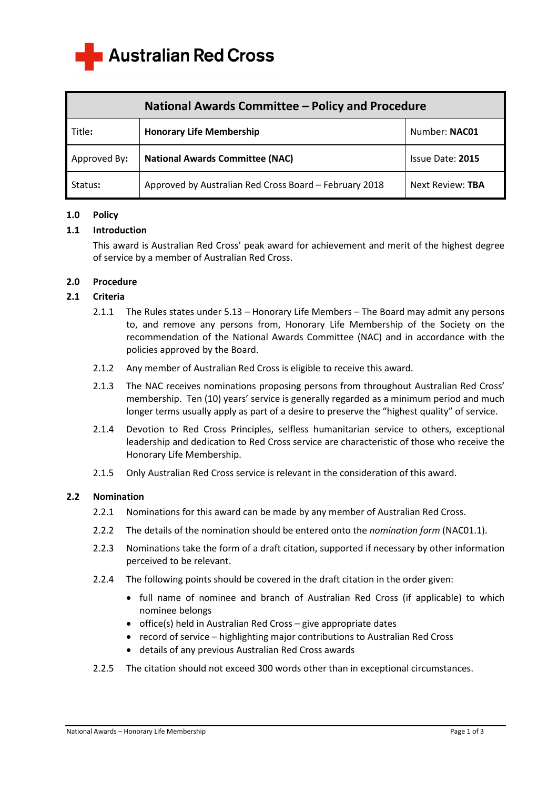

| National Awards Committee - Policy and Procedure |                                                        |                  |
|--------------------------------------------------|--------------------------------------------------------|------------------|
| Title:                                           | <b>Honorary Life Membership</b>                        | Number: NAC01    |
| Approved By:                                     | <b>National Awards Committee (NAC)</b>                 | Issue Date: 2015 |
| Status:                                          | Approved by Australian Red Cross Board - February 2018 | Next Review: TBA |

# **1.0 Policy**

#### **1.1 Introduction**

This award is Australian Red Cross' peak award for achievement and merit of the highest degree of service by a member of Australian Red Cross.

#### **2.0 Procedure**

#### **2.1 Criteria**

- 2.1.1 The Rules states under 5.13 Honorary Life Members The Board may admit any persons to, and remove any persons from, Honorary Life Membership of the Society on the recommendation of the National Awards Committee (NAC) and in accordance with the policies approved by the Board.
- 2.1.2 Any member of Australian Red Cross is eligible to receive this award.
- 2.1.3 The NAC receives nominations proposing persons from throughout Australian Red Cross' membership. Ten (10) years' service is generally regarded as a minimum period and much longer terms usually apply as part of a desire to preserve the "highest quality" of service.
- 2.1.4 Devotion to Red Cross Principles, selfless humanitarian service to others, exceptional leadership and dedication to Red Cross service are characteristic of those who receive the Honorary Life Membership.
- 2.1.5 Only Australian Red Cross service is relevant in the consideration of this award.

#### **2.2 Nomination**

- 2.2.1 Nominations for this award can be made by any member of Australian Red Cross.
- 2.2.2 The details of the nomination should be entered onto the *nomination form* (NAC01.1).
- 2.2.3 Nominations take the form of a draft citation, supported if necessary by other information perceived to be relevant.
- 2.2.4 The following points should be covered in the draft citation in the order given:
	- full name of nominee and branch of Australian Red Cross (if applicable) to which nominee belongs
	- office(s) held in Australian Red Cross give appropriate dates
	- record of service highlighting major contributions to Australian Red Cross
	- details of any previous Australian Red Cross awards
- 2.2.5 The citation should not exceed 300 words other than in exceptional circumstances.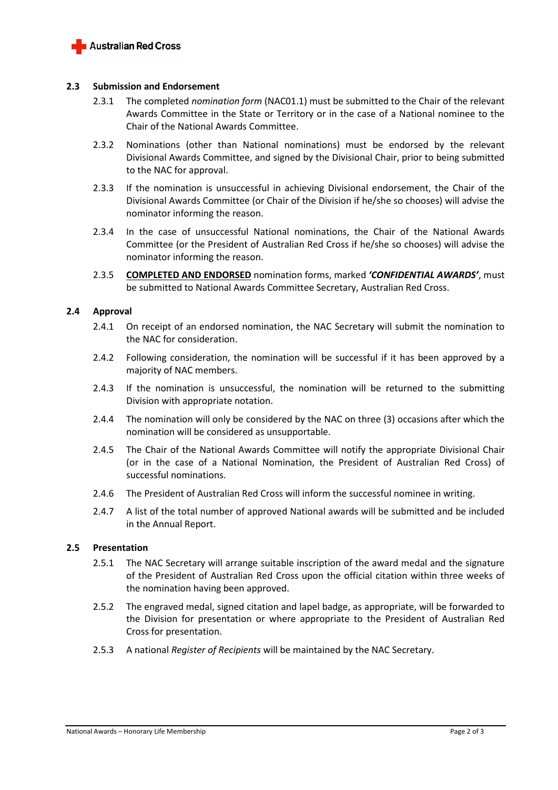

### **2.3 Submission and Endorsement**

- 2.3.1 The completed *nomination form* (NAC01.1) must be submitted to the Chair of the relevant Awards Committee in the State or Territory or in the case of a National nominee to the Chair of the National Awards Committee.
- 2.3.2 Nominations (other than National nominations) must be endorsed by the relevant Divisional Awards Committee, and signed by the Divisional Chair, prior to being submitted to the NAC for approval.
- 2.3.3 If the nomination is unsuccessful in achieving Divisional endorsement, the Chair of the Divisional Awards Committee (or Chair of the Division if he/she so chooses) will advise the nominator informing the reason.
- 2.3.4 In the case of unsuccessful National nominations, the Chair of the National Awards Committee (or the President of Australian Red Cross if he/she so chooses) will advise the nominator informing the reason.
- 2.3.5 **COMPLETED AND ENDORSED** nomination forms, marked *'CONFIDENTIAL AWARDS'*, must be submitted to National Awards Committee Secretary, Australian Red Cross.

# **2.4 Approval**

- 2.4.1 On receipt of an endorsed nomination, the NAC Secretary will submit the nomination to the NAC for consideration.
- 2.4.2 Following consideration, the nomination will be successful if it has been approved by a majority of NAC members.
- 2.4.3 If the nomination is unsuccessful, the nomination will be returned to the submitting Division with appropriate notation.
- 2.4.4 The nomination will only be considered by the NAC on three (3) occasions after which the nomination will be considered as unsupportable.
- 2.4.5 The Chair of the National Awards Committee will notify the appropriate Divisional Chair (or in the case of a National Nomination, the President of Australian Red Cross) of successful nominations.
- 2.4.6 The President of Australian Red Cross will inform the successful nominee in writing.
- 2.4.7 A list of the total number of approved National awards will be submitted and be included in the Annual Report.

# **2.5 Presentation**

- 2.5.1 The NAC Secretary will arrange suitable inscription of the award medal and the signature of the President of Australian Red Cross upon the official citation within three weeks of the nomination having been approved.
- 2.5.2 The engraved medal, signed citation and lapel badge, as appropriate, will be forwarded to the Division for presentation or where appropriate to the President of Australian Red Cross for presentation.
- 2.5.3 A national *Register of Recipients* will be maintained by the NAC Secretary.